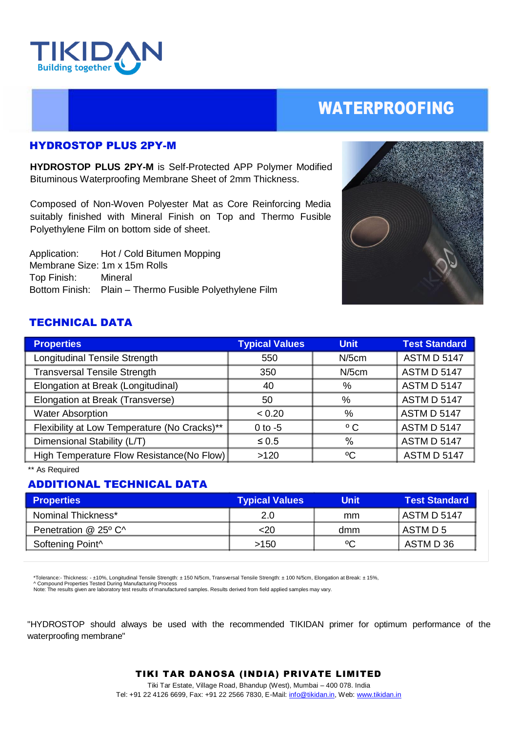

## WATERPROOFING

### HYDROSTOP PLUS 2PY-M

**HYDROSTOP PLUS 2PY-M** is Self-Protected APP Polymer Modified Bituminous Waterproofing Membrane Sheet of 2mm Thickness.

Composed of Non-Woven Polyester Mat as Core Reinforcing Media suitably finished with Mineral Finish on Top and Thermo Fusible Polyethylene Film on bottom side of sheet.

 Application: Hot / Cold Bitumen Mopping Membrane Size: 1m x 15m Rolls Top Finish: Mineral Bottom Finish: Plain – Thermo Fusible Polyethylene Film



## TECHNICAL DATA

| <b>Properties</b>                            | <b>Typical Values</b> | <b>Unit</b>  | <b>Test Standard</b> |
|----------------------------------------------|-----------------------|--------------|----------------------|
| <b>Longitudinal Tensile Strength</b>         | 550                   | $N/5$ cm     | <b>ASTM D 5147</b>   |
| <b>Transversal Tensile Strength</b>          | 350                   | $N/5$ cm     | <b>ASTM D 5147</b>   |
| Elongation at Break (Longitudinal)           | 40                    | %            | <b>ASTM D 5147</b>   |
| Elongation at Break (Transverse)             | 50                    | %            | <b>ASTM D 5147</b>   |
| <b>Water Absorption</b>                      | < 0.20                | %            | <b>ASTM D 5147</b>   |
| Flexibility at Low Temperature (No Cracks)** | $0$ to $-5$           | $^{\circ}$ C | <b>ASTM D 5147</b>   |
| Dimensional Stability (L/T)                  | $\leq 0.5$            | $\%$         | <b>ASTM D 5147</b>   |
| High Temperature Flow Resistance(No Flow)    | >120                  | $\rm ^{o}C$  | <b>ASTM D 5147</b>   |

\*\* As Required

## ADDITIONAL TECHNICAL DATA

| <b>Properties</b>            | <b>Typical Values</b> | <b>Unit</b> | <b>Test Standard</b> |
|------------------------------|-----------------------|-------------|----------------------|
| Nominal Thickness*           | 2.0                   | mm          | ASTM D 5147          |
| Penetration @ 25° C^         | $<$ 20                | dmm         | l ASTM D 5           |
| Softening Point <sup>^</sup> | >150                  | °C          | ASTM D 36            |

\*Tolerance:- Thickness: - ±10%, Longitudinal Tensile Strength: ± 150 N/5cm, Transversal Tensile Strength: ± 100 N/5cm, Elongation at Break: ± 15%, ^ Compound Properties Tested During Manufacturing Process

Note: The results given are laboratory test results of manufactured samples. Results derived from field applied samples may vary.

"HYDROSTOP should always be used with the recommended TIKIDAN primer for optimum performance of the waterproofing membrane"

#### TIKI TAR DANOSA (INDIA) PRIVATE LIMITED